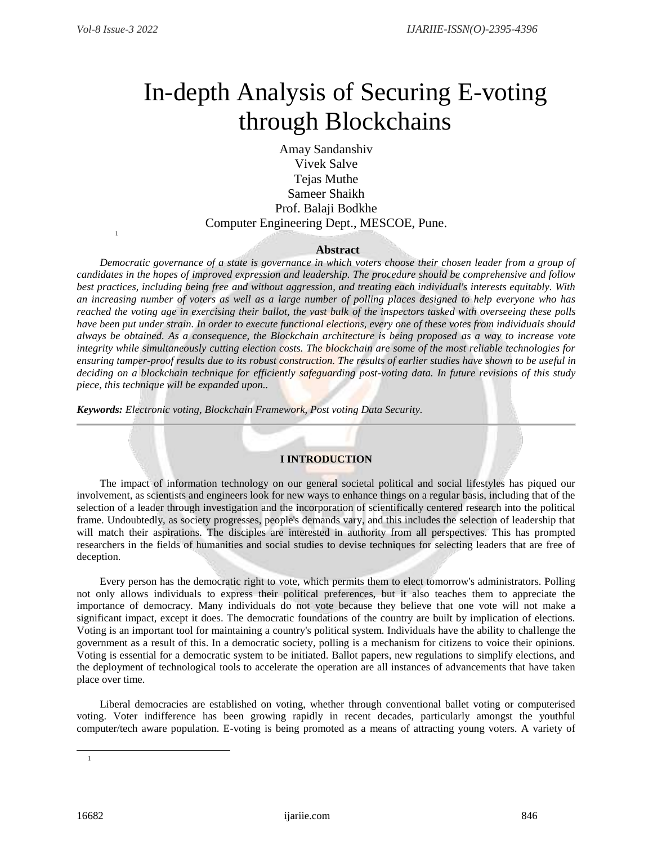1

# In-depth Analysis of Securing E-voting through Blockchains

Amay Sandanshiv Vivek Salve Tejas Muthe Sameer Shaikh Prof. Balaji Bodkhe Computer Engineering Dept., MESCOE, Pune.

## **Abstract**

*Democratic governance of a state is governance in which voters choose their chosen leader from a group of candidates in the hopes of improved expression and leadership. The procedure should be comprehensive and follow best practices, including being free and without aggression, and treating each individual's interests equitably. With an increasing number of voters as well as a large number of polling places designed to help everyone who has reached the voting age in exercising their ballot, the vast bulk of the inspectors tasked with overseeing these polls have been put under strain. In order to execute functional elections, every one of these votes from individuals should always be obtained. As a consequence, the Blockchain architecture is being proposed as a way to increase vote integrity while simultaneously cutting election costs. The blockchain are some of the most reliable technologies for ensuring tamper-proof results due to its robust construction. The results of earlier studies have shown to be useful in deciding on a blockchain technique for efficiently safeguarding post-voting data. In future revisions of this study piece, this technique will be expanded upon..* 

*Keywords: Electronic voting, Blockchain Framework, Post voting Data Security.* 

### **I INTRODUCTION**

The impact of information technology on our general societal political and social lifestyles has piqued our involvement, as scientists and engineers look for new ways to enhance things on a regular basis, including that of the selection of a leader through investigation and the incorporation of scientifically centered research into the political frame. Undoubtedly, as society progresses, people's demands vary, and this includes the selection of leadership that will match their aspirations. The disciples are interested in authority from all perspectives. This has prompted researchers in the fields of humanities and social studies to devise techniques for selecting leaders that are free of deception.

Every person has the democratic right to vote, which permits them to elect tomorrow's administrators. Polling not only allows individuals to express their political preferences, but it also teaches them to appreciate the importance of democracy. Many individuals do not vote because they believe that one vote will not make a significant impact, except it does. The democratic foundations of the country are built by implication of elections. Voting is an important tool for maintaining a country's political system. Individuals have the ability to challenge the government as a result of this. In a democratic society, polling is a mechanism for citizens to voice their opinions. Voting is essential for a democratic system to be initiated. Ballot papers, new regulations to simplify elections, and the deployment of technological tools to accelerate the operation are all instances of advancements that have taken place over time.

Liberal democracies are established on voting, whether through conventional ballet voting or computerised voting. Voter indifference has been growing rapidly in recent decades, particularly amongst the youthful computer/tech aware population. E-voting is being promoted as a means of attracting young voters. A variety of

l

<sup>1</sup>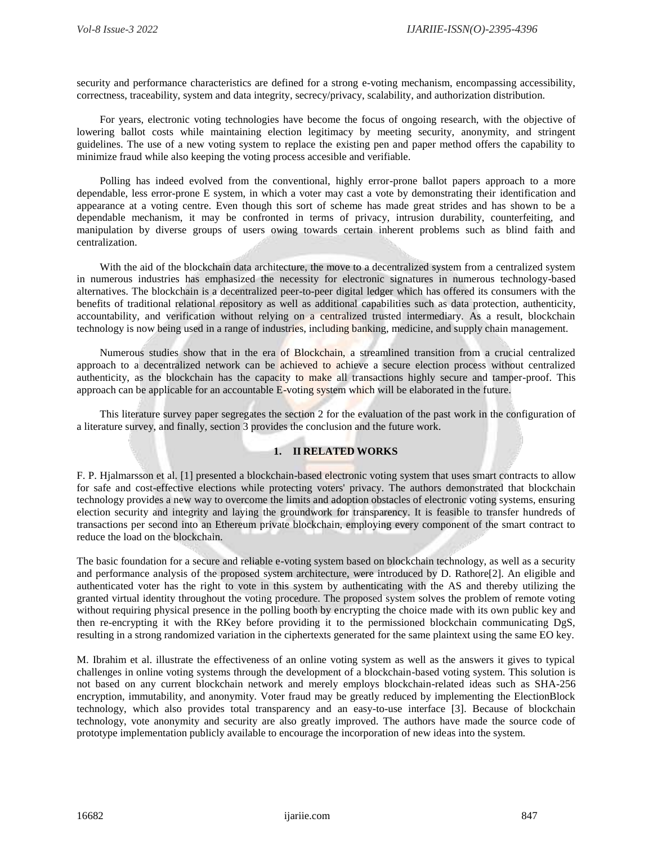security and performance characteristics are defined for a strong e-voting mechanism, encompassing accessibility, correctness, traceability, system and data integrity, secrecy/privacy, scalability, and authorization distribution.

For years, electronic voting technologies have become the focus of ongoing research, with the objective of lowering ballot costs while maintaining election legitimacy by meeting security, anonymity, and stringent guidelines. The use of a new voting system to replace the existing pen and paper method offers the capability to minimize fraud while also keeping the voting process accesible and verifiable.

Polling has indeed evolved from the conventional, highly error-prone ballot papers approach to a more dependable, less error-prone E system, in which a voter may cast a vote by demonstrating their identification and appearance at a voting centre. Even though this sort of scheme has made great strides and has shown to be a dependable mechanism, it may be confronted in terms of privacy, intrusion durability, counterfeiting, and manipulation by diverse groups of users owing towards certain inherent problems such as blind faith and centralization.

With the aid of the blockchain data architecture, the move to a decentralized system from a centralized system in numerous industries has emphasized the necessity for electronic signatures in numerous technology-based alternatives. The blockchain is a decentralized peer-to-peer digital ledger which has offered its consumers with the benefits of traditional relational repository as well as additional capabilities such as data protection, authenticity, accountability, and verification without relying on a centralized trusted intermediary. As a result, blockchain technology is now being used in a range of industries, including banking, medicine, and supply chain management.

Numerous studies show that in the era of Blockchain, a streamlined transition from a crucial centralized approach to a decentralized network can be achieved to achieve a secure election process without centralized authenticity, as the blockchain has the capacity to make all transactions highly secure and tamper-proof. This approach can be applicable for an accountable E-voting system which will be elaborated in the future.

This literature survey paper segregates the section 2 for the evaluation of the past work in the configuration of a literature survey, and finally, section 3 provides the conclusion and the future work.

#### **1. II RELATED WORKS**

F. P. Hjalmarsson et al. [1] presented a blockchain-based electronic voting system that uses smart contracts to allow for safe and cost-effective elections while protecting voters' privacy. The authors demonstrated that blockchain technology provides a new way to overcome the limits and adoption obstacles of electronic voting systems, ensuring election security and integrity and laying the groundwork for transparency. It is feasible to transfer hundreds of transactions per second into an Ethereum private blockchain, employing every component of the smart contract to reduce the load on the blockchain.

The basic foundation for a secure and reliable e-voting system based on blockchain technology, as well as a security and performance analysis of the proposed system architecture, were introduced by D. Rathore[2]. An eligible and authenticated voter has the right to vote in this system by authenticating with the AS and thereby utilizing the granted virtual identity throughout the voting procedure. The proposed system solves the problem of remote voting without requiring physical presence in the polling booth by encrypting the choice made with its own public key and then re-encrypting it with the RKey before providing it to the permissioned blockchain communicating DgS, resulting in a strong randomized variation in the ciphertexts generated for the same plaintext using the same EO key.

M. Ibrahim et al. illustrate the effectiveness of an online voting system as well as the answers it gives to typical challenges in online voting systems through the development of a blockchain-based voting system. This solution is not based on any current blockchain network and merely employs blockchain-related ideas such as SHA-256 encryption, immutability, and anonymity. Voter fraud may be greatly reduced by implementing the ElectionBlock technology, which also provides total transparency and an easy-to-use interface [3]. Because of blockchain technology, vote anonymity and security are also greatly improved. The authors have made the source code of prototype implementation publicly available to encourage the incorporation of new ideas into the system.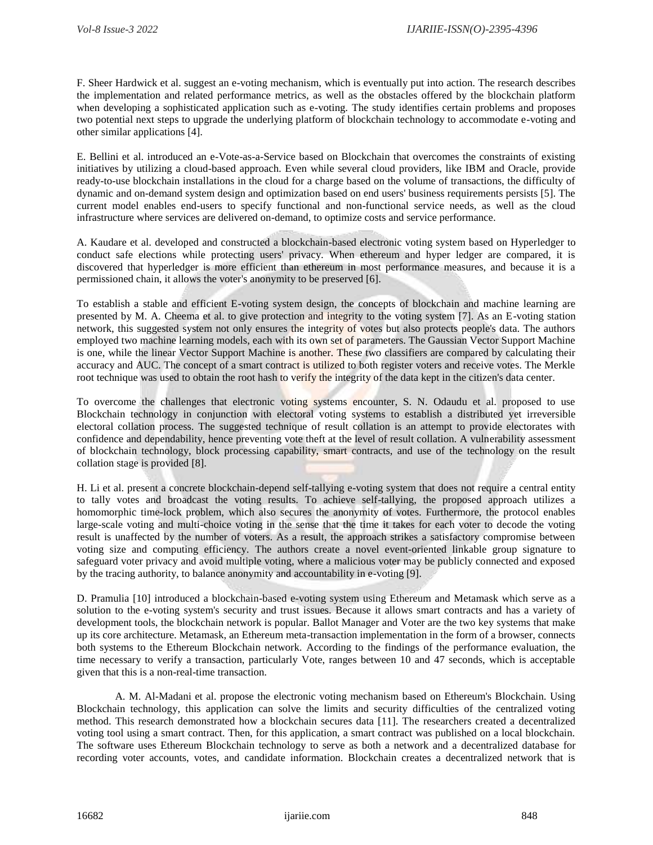F. Sheer Hardwick et al. suggest an e-voting mechanism, which is eventually put into action. The research describes the implementation and related performance metrics, as well as the obstacles offered by the blockchain platform when developing a sophisticated application such as e-voting. The study identifies certain problems and proposes two potential next steps to upgrade the underlying platform of blockchain technology to accommodate e-voting and other similar applications [4].

E. Bellini et al. introduced an e-Vote-as-a-Service based on Blockchain that overcomes the constraints of existing initiatives by utilizing a cloud-based approach. Even while several cloud providers, like IBM and Oracle, provide ready-to-use blockchain installations in the cloud for a charge based on the volume of transactions, the difficulty of dynamic and on-demand system design and optimization based on end users' business requirements persists [5]. The current model enables end-users to specify functional and non-functional service needs, as well as the cloud infrastructure where services are delivered on-demand, to optimize costs and service performance.

A. Kaudare et al. developed and constructed a blockchain-based electronic voting system based on Hyperledger to conduct safe elections while protecting users' privacy. When ethereum and hyper ledger are compared, it is discovered that hyperledger is more efficient than ethereum in most performance measures, and because it is a permissioned chain, it allows the voter's anonymity to be preserved [6].

To establish a stable and efficient E-voting system design, the concepts of blockchain and machine learning are presented by M. A. Cheema et al. to give protection and integrity to the voting system [7]. As an E-voting station network, this suggested system not only ensures the integrity of votes but also protects people's data. The authors employed two machine learning models, each with its own set of parameters. The Gaussian Vector Support Machine is one, while the linear Vector Support Machine is another. These two classifiers are compared by calculating their accuracy and AUC. The concept of a smart contract is utilized to both register voters and receive votes. The Merkle root technique was used to obtain the root hash to verify the integrity of the data kept in the citizen's data center.

To overcome the challenges that electronic voting systems encounter, S. N. Odaudu et al. proposed to use Blockchain technology in conjunction with electoral voting systems to establish a distributed yet irreversible electoral collation process. The suggested technique of result collation is an attempt to provide electorates with confidence and dependability, hence preventing vote theft at the level of result collation. A vulnerability assessment of blockchain technology, block processing capability, smart contracts, and use of the technology on the result collation stage is provided [8].

H. Li et al. present a concrete blockchain-depend self-tallying e-voting system that does not require a central entity to tally votes and broadcast the voting results. To achieve self-tallying, the proposed approach utilizes a homomorphic time-lock problem, which also secures the anonymity of votes. Furthermore, the protocol enables large-scale voting and multi-choice voting in the sense that the time it takes for each voter to decode the voting result is unaffected by the number of voters. As a result, the approach strikes a satisfactory compromise between voting size and computing efficiency. The authors create a novel event-oriented linkable group signature to safeguard voter privacy and avoid multiple voting, where a malicious voter may be publicly connected and exposed by the tracing authority, to balance anonymity and accountability in e-voting [9].

D. Pramulia [10] introduced a blockchain-based e-voting system using Ethereum and Metamask which serve as a solution to the e-voting system's security and trust issues. Because it allows smart contracts and has a variety of development tools, the blockchain network is popular. Ballot Manager and Voter are the two key systems that make up its core architecture. Metamask, an Ethereum meta-transaction implementation in the form of a browser, connects both systems to the Ethereum Blockchain network. According to the findings of the performance evaluation, the time necessary to verify a transaction, particularly Vote, ranges between 10 and 47 seconds, which is acceptable given that this is a non-real-time transaction.

A. M. Al-Madani et al. propose the electronic voting mechanism based on Ethereum's Blockchain. Using Blockchain technology, this application can solve the limits and security difficulties of the centralized voting method. This research demonstrated how a blockchain secures data [11]. The researchers created a decentralized voting tool using a smart contract. Then, for this application, a smart contract was published on a local blockchain. The software uses Ethereum Blockchain technology to serve as both a network and a decentralized database for recording voter accounts, votes, and candidate information. Blockchain creates a decentralized network that is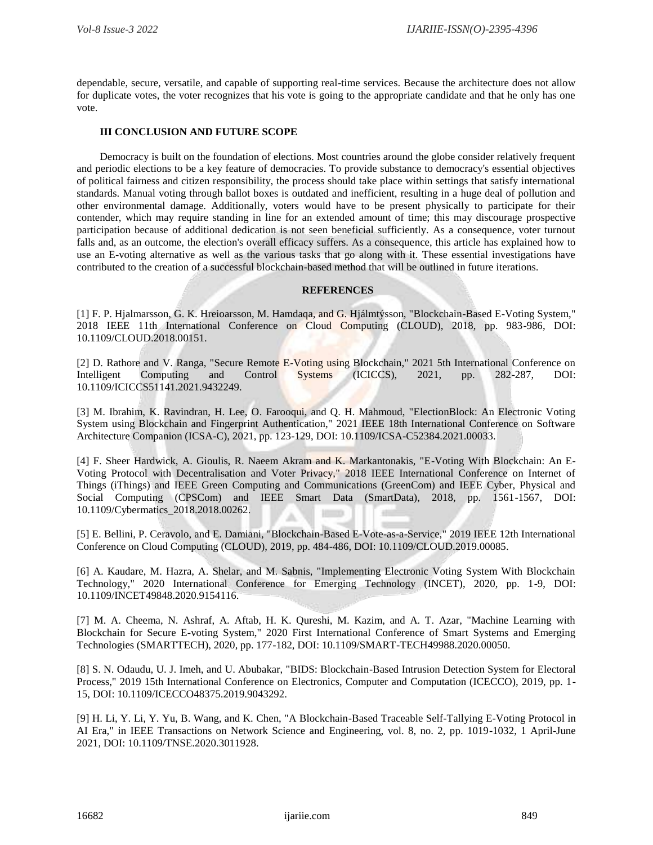dependable, secure, versatile, and capable of supporting real-time services. Because the architecture does not allow for duplicate votes, the voter recognizes that his vote is going to the appropriate candidate and that he only has one vote.

#### **III CONCLUSION AND FUTURE SCOPE**

Democracy is built on the foundation of elections. Most countries around the globe consider relatively frequent and periodic elections to be a key feature of democracies. To provide substance to democracy's essential objectives of political fairness and citizen responsibility, the process should take place within settings that satisfy international standards. Manual voting through ballot boxes is outdated and inefficient, resulting in a huge deal of pollution and other environmental damage. Additionally, voters would have to be present physically to participate for their contender, which may require standing in line for an extended amount of time; this may discourage prospective participation because of additional dedication is not seen beneficial sufficiently. As a consequence, voter turnout falls and, as an outcome, the election's overall efficacy suffers. As a consequence, this article has explained how to use an E-voting alternative as well as the various tasks that go along with it. These essential investigations have contributed to the creation of a successful blockchain-based method that will be outlined in future iterations.

#### **REFERENCES**

[1] F. P. Hjalmarsson, G. K. Hreioarsson, M. Hamdaqa, and G. Hjálmtýsson, "Blockchain-Based E-Voting System," 2018 IEEE 11th International Conference on Cloud Computing (CLOUD), 2018, pp. 983-986, DOI: 10.1109/CLOUD.2018.00151.

[2] D. Rathore and V. Ranga, "Secure Remote E-Voting using Blockchain," 2021 5th International Conference on Intelligent Computing and Control Systems (ICICCS), 2021, pp. 282-287, DOI: 10.1109/ICICCS51141.2021.9432249.

[3] M. Ibrahim, K. Ravindran, H. Lee, O. Farooqui, and Q. H. Mahmoud, "ElectionBlock: An Electronic Voting System using Blockchain and Fingerprint Authentication," 2021 IEEE 18th International Conference on Software Architecture Companion (ICSA-C), 2021, pp. 123-129, DOI: 10.1109/ICSA-C52384.2021.00033.

[4] F. Sheer Hardwick, A. Gioulis, R. Naeem Akram and K. Markantonakis, "E-Voting With Blockchain: An E-Voting Protocol with Decentralisation and Voter Privacy," 2018 IEEE International Conference on Internet of Things (iThings) and IEEE Green Computing and Communications (GreenCom) and IEEE Cyber, Physical and Social Computing (CPSCom) and IEEE Smart Data (SmartData), 2018, pp. 1561-1567, DOI: 10.1109/Cybermatics\_2018.2018.00262.

[5] E. Bellini, P. Ceravolo, and E. Damiani, "Blockchain-Based E-Vote-as-a-Service," 2019 IEEE 12th International Conference on Cloud Computing (CLOUD), 2019, pp. 484-486, DOI: 10.1109/CLOUD.2019.00085.

[6] A. Kaudare, M. Hazra, A. Shelar, and M. Sabnis, "Implementing Electronic Voting System With Blockchain Technology," 2020 International Conference for Emerging Technology (INCET), 2020, pp. 1-9, DOI: 10.1109/INCET49848.2020.9154116.

[7] M. A. Cheema, N. Ashraf, A. Aftab, H. K. Qureshi, M. Kazim, and A. T. Azar, "Machine Learning with Blockchain for Secure E-voting System," 2020 First International Conference of Smart Systems and Emerging Technologies (SMARTTECH), 2020, pp. 177-182, DOI: 10.1109/SMART-TECH49988.2020.00050.

[8] S. N. Odaudu, U. J. Imeh, and U. Abubakar, "BIDS: Blockchain-Based Intrusion Detection System for Electoral Process," 2019 15th International Conference on Electronics, Computer and Computation (ICECCO), 2019, pp. 1- 15, DOI: 10.1109/ICECCO48375.2019.9043292.

[9] H. Li, Y. Li, Y. Yu, B. Wang, and K. Chen, "A Blockchain-Based Traceable Self-Tallying E-Voting Protocol in AI Era," in IEEE Transactions on Network Science and Engineering, vol. 8, no. 2, pp. 1019-1032, 1 April-June 2021, DOI: 10.1109/TNSE.2020.3011928.